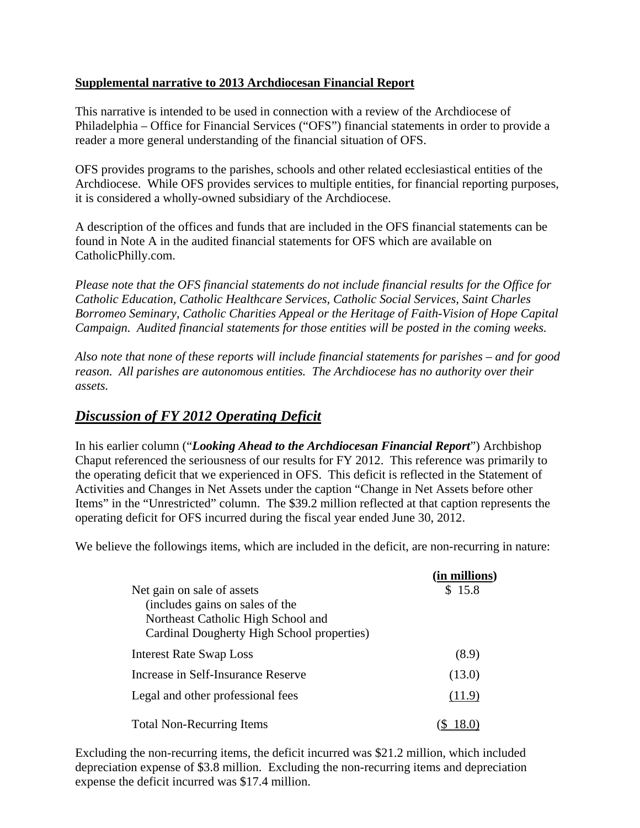#### **Supplemental narrative to 2013 Archdiocesan Financial Report**

This narrative is intended to be used in connection with a review of the Archdiocese of Philadelphia – Office for Financial Services ("OFS") financial statements in order to provide a reader a more general understanding of the financial situation of OFS.

OFS provides programs to the parishes, schools and other related ecclesiastical entities of the Archdiocese. While OFS provides services to multiple entities, for financial reporting purposes, it is considered a wholly-owned subsidiary of the Archdiocese.

A description of the offices and funds that are included in the OFS financial statements can be found in Note A in the audited financial statements for OFS which are available on CatholicPhilly.com.

*Please note that the OFS financial statements do not include financial results for the Office for Catholic Education, Catholic Healthcare Services, Catholic Social Services, Saint Charles Borromeo Seminary, Catholic Charities Appeal or the Heritage of Faith-Vision of Hope Capital Campaign. Audited financial statements for those entities will be posted in the coming weeks.*

*Also note that none of these reports will include financial statements for parishes – and for good reason. All parishes are autonomous entities. The Archdiocese has no authority over their assets.*

# *Discussion of FY 2012 Operating Deficit*

In his earlier column ("*Looking Ahead to the Archdiocesan Financial Report*") Archbishop Chaput referenced the seriousness of our results for FY 2012. This reference was primarily to the operating deficit that we experienced in OFS. This deficit is reflected in the Statement of Activities and Changes in Net Assets under the caption "Change in Net Assets before other Items" in the "Unrestricted" column. The \$39.2 million reflected at that caption represents the operating deficit for OFS incurred during the fiscal year ended June 30, 2012.

We believe the followings items, which are included in the deficit, are non-recurring in nature:

|                                            | (in millions) |
|--------------------------------------------|---------------|
| Net gain on sale of assets                 | \$15.8        |
| (includes gains on sales of the            |               |
| Northeast Catholic High School and         |               |
| Cardinal Dougherty High School properties) |               |
| <b>Interest Rate Swap Loss</b>             | (8.9)         |
| Increase in Self-Insurance Reserve         | (13.0)        |
| Legal and other professional fees          | (11.9)        |
| <b>Total Non-Recurring Items</b>           |               |

Excluding the non-recurring items, the deficit incurred was \$21.2 million, which included depreciation expense of \$3.8 million. Excluding the non-recurring items and depreciation expense the deficit incurred was \$17.4 million.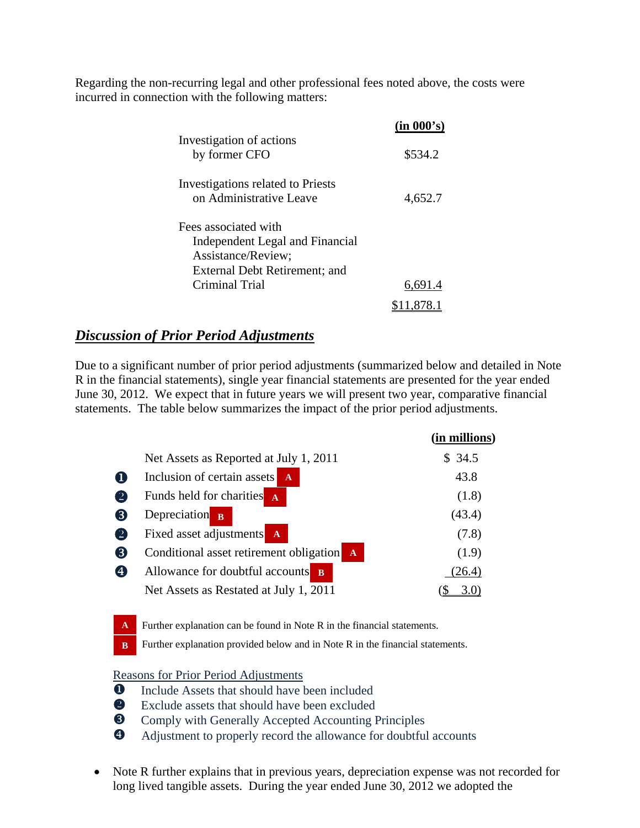Regarding the non-recurring legal and other professional fees noted above, the costs were incurred in connection with the following matters:

|                                                                                                                | (in 000's) |
|----------------------------------------------------------------------------------------------------------------|------------|
| Investigation of actions<br>by former CFO                                                                      | \$534.2    |
| Investigations related to Priests<br>on Administrative Leave                                                   | 4,652.7    |
| Fees associated with<br>Independent Legal and Financial<br>Assistance/Review;<br>External Debt Retirement; and |            |
| Criminal Trial                                                                                                 | 6.691.4    |
|                                                                                                                |            |

## *Discussion of Prior Period Adjustments*

Due to a significant number of prior period adjustments (summarized below and detailed in Note R in the financial statements), single year financial statements are presented for the year ended June 30, 2012. We expect that in future years we will present two year, comparative financial statements. The table below summarizes the impact of the prior period adjustments.

|                   |                                                         | (in millions) |
|-------------------|---------------------------------------------------------|---------------|
|                   | Net Assets as Reported at July 1, 2011                  | \$ 34.5       |
| O                 | Inclusion of certain assets<br>$\mathbf{A}$             | 43.8          |
| $\left( 2\right)$ | Funds held for charities A                              | (1.8)         |
| 8                 | Depreciation $\mathbf{B}$                               | (43.4)        |
| $\left( 2\right)$ | Fixed asset adjustments<br>$\mathbf{A}$                 | (7.8)         |
| (8)               | Conditional asset retirement obligation<br>$\mathbf{A}$ | (1.9)         |
| $\boldsymbol{c}$  | Allowance for doubtful accounts<br>$\overline{B}$       | 26.4)         |
|                   | Net Assets as Restated at July 1, 2011                  |               |

Further explanation can be found in Note R in the financial statements. **A**

Further explanation provided below and in Note R in the financial statements. **B**

Reasons for Prior Period Adjustments

- **O** Include Assets that should have been included
- Exclude assets that should have been excluded
- $\bullet$  Comply with Generally Accepted Accounting Principles
- Adjustment to properly record the allowance for doubtful accounts
- Note R further explains that in previous years, depreciation expense was not recorded for long lived tangible assets. During the year ended June 30, 2012 we adopted the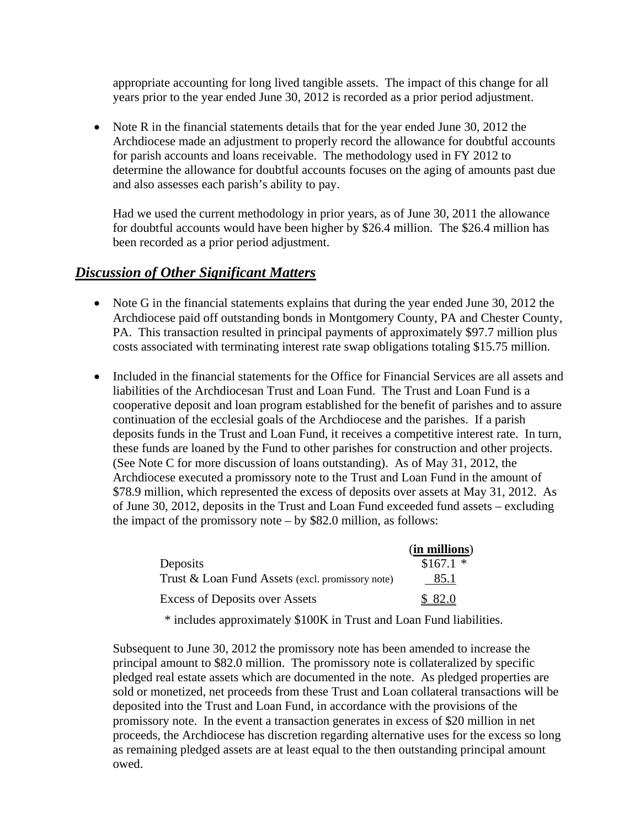appropriate accounting for long lived tangible assets. The impact of this change for all years prior to the year ended June 30, 2012 is recorded as a prior period adjustment.

• Note R in the financial statements details that for the year ended June 30, 2012 the Archdiocese made an adjustment to properly record the allowance for doubtful accounts for parish accounts and loans receivable. The methodology used in FY 2012 to determine the allowance for doubtful accounts focuses on the aging of amounts past due and also assesses each parish's ability to pay.

Had we used the current methodology in prior years, as of June 30, 2011 the allowance for doubtful accounts would have been higher by \$26.4 million. The \$26.4 million has been recorded as a prior period adjustment.

#### *Discussion of Other Significant Matters*

- Note G in the financial statements explains that during the year ended June 30, 2012 the Archdiocese paid off outstanding bonds in Montgomery County, PA and Chester County, PA. This transaction resulted in principal payments of approximately \$97.7 million plus costs associated with terminating interest rate swap obligations totaling \$15.75 million.
- Included in the financial statements for the Office for Financial Services are all assets and liabilities of the Archdiocesan Trust and Loan Fund. The Trust and Loan Fund is a cooperative deposit and loan program established for the benefit of parishes and to assure continuation of the ecclesial goals of the Archdiocese and the parishes. If a parish deposits funds in the Trust and Loan Fund, it receives a competitive interest rate. In turn, these funds are loaned by the Fund to other parishes for construction and other projects. (See Note C for more discussion of loans outstanding). As of May 31, 2012, the Archdiocese executed a promissory note to the Trust and Loan Fund in the amount of \$78.9 million, which represented the excess of deposits over assets at May 31, 2012. As of June 30, 2012, deposits in the Trust and Loan Fund exceeded fund assets – excluding the impact of the promissory note – by \$82.0 million, as follows:

|                                                  | (in millions) |
|--------------------------------------------------|---------------|
| Deposits                                         | $$167.1$ *    |
| Trust & Loan Fund Assets (excl. promissory note) | 85.1          |
| <b>Excess of Deposits over Assets</b>            | \$ 82.0       |

\* includes approximately \$100K in Trust and Loan Fund liabilities.

Subsequent to June 30, 2012 the promissory note has been amended to increase the principal amount to \$82.0 million. The promissory note is collateralized by specific pledged real estate assets which are documented in the note. As pledged properties are sold or monetized, net proceeds from these Trust and Loan collateral transactions will be deposited into the Trust and Loan Fund, in accordance with the provisions of the promissory note. In the event a transaction generates in excess of \$20 million in net proceeds, the Archdiocese has discretion regarding alternative uses for the excess so long as remaining pledged assets are at least equal to the then outstanding principal amount owed.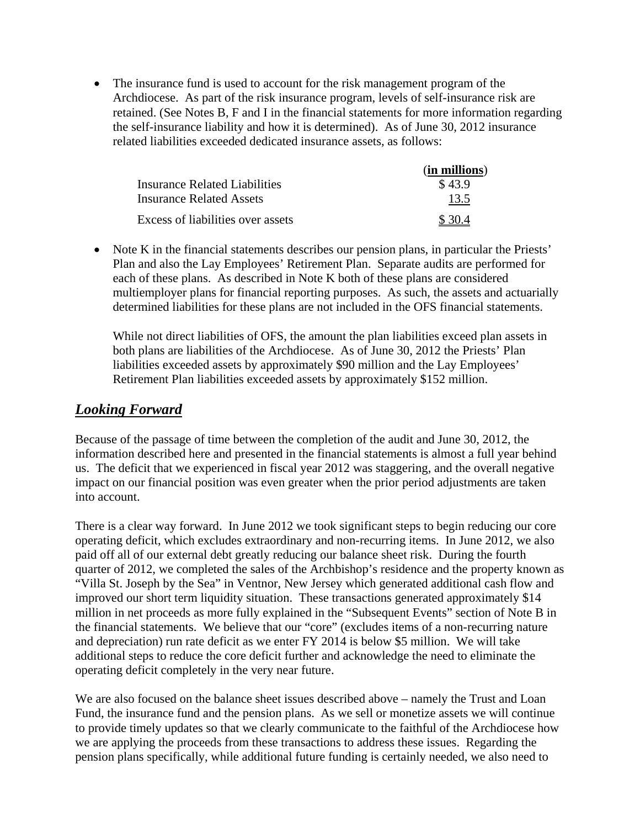• The insurance fund is used to account for the risk management program of the Archdiocese. As part of the risk insurance program, levels of self-insurance risk are retained. (See Notes B, F and I in the financial statements for more information regarding the self-insurance liability and how it is determined). As of June 30, 2012 insurance related liabilities exceeded dedicated insurance assets, as follows:

|                                   | (in millions) |
|-----------------------------------|---------------|
| Insurance Related Liabilities     | \$43.9        |
| Insurance Related Assets          | 13.5          |
| Excess of liabilities over assets | \$ 30.4       |

• Note K in the financial statements describes our pension plans, in particular the Priests' Plan and also the Lay Employees' Retirement Plan. Separate audits are performed for each of these plans. As described in Note K both of these plans are considered multiemployer plans for financial reporting purposes. As such, the assets and actuarially determined liabilities for these plans are not included in the OFS financial statements.

While not direct liabilities of OFS, the amount the plan liabilities exceed plan assets in both plans are liabilities of the Archdiocese. As of June 30, 2012 the Priests' Plan liabilities exceeded assets by approximately \$90 million and the Lay Employees' Retirement Plan liabilities exceeded assets by approximately \$152 million.

## *Looking Forward*

Because of the passage of time between the completion of the audit and June 30, 2012, the information described here and presented in the financial statements is almost a full year behind us. The deficit that we experienced in fiscal year 2012 was staggering, and the overall negative impact on our financial position was even greater when the prior period adjustments are taken into account.

There is a clear way forward. In June 2012 we took significant steps to begin reducing our core operating deficit, which excludes extraordinary and non-recurring items. In June 2012, we also paid off all of our external debt greatly reducing our balance sheet risk. During the fourth quarter of 2012, we completed the sales of the Archbishop's residence and the property known as "Villa St. Joseph by the Sea" in Ventnor, New Jersey which generated additional cash flow and improved our short term liquidity situation. These transactions generated approximately \$14 million in net proceeds as more fully explained in the "Subsequent Events" section of Note B in the financial statements. We believe that our "core" (excludes items of a non-recurring nature and depreciation) run rate deficit as we enter FY 2014 is below \$5 million. We will take additional steps to reduce the core deficit further and acknowledge the need to eliminate the operating deficit completely in the very near future.

We are also focused on the balance sheet issues described above – namely the Trust and Loan Fund, the insurance fund and the pension plans. As we sell or monetize assets we will continue to provide timely updates so that we clearly communicate to the faithful of the Archdiocese how we are applying the proceeds from these transactions to address these issues. Regarding the pension plans specifically, while additional future funding is certainly needed, we also need to